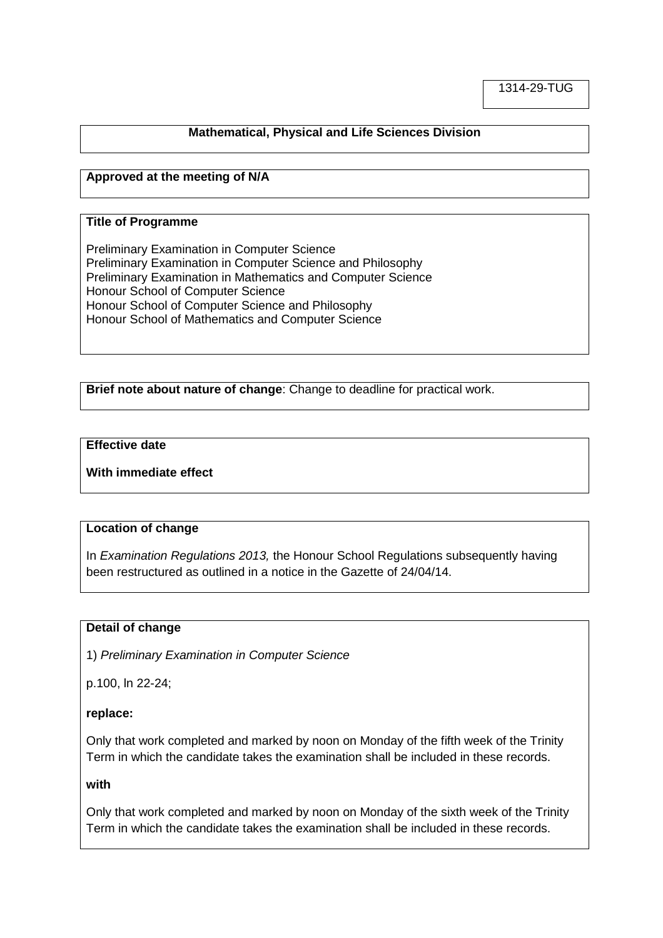### **Mathematical, Physical and Life Sciences Division**

### **Approved at the meeting of N/A**

#### **Title of Programme**

Preliminary Examination in Computer Science Preliminary Examination in Computer Science and Philosophy Preliminary Examination in Mathematics and Computer Science Honour School of Computer Science Honour School of Computer Science and Philosophy Honour School of Mathematics and Computer Science

**Brief note about nature of change**: Change to deadline for practical work.

#### **Effective date**

**With immediate effect**

#### **Location of change**

In *Examination Regulations 2013,* the Honour School Regulations subsequently having been restructured as outlined in a notice in the Gazette of 24/04/14.

#### **Detail of change**

1) *Preliminary Examination in Computer Science*

p.100, ln 22-24;

#### **replace:**

Only that work completed and marked by noon on Monday of the fifth week of the Trinity Term in which the candidate takes the examination shall be included in these records.

#### **with**

Only that work completed and marked by noon on Monday of the sixth week of the Trinity Term in which the candidate takes the examination shall be included in these records.